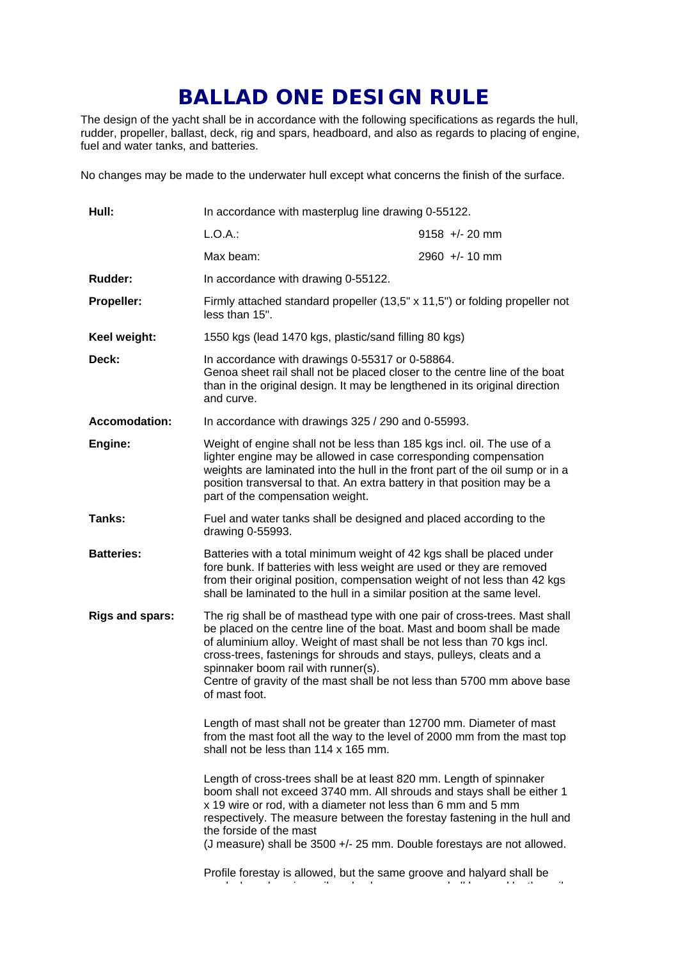## **BALLAD ONE DESIGN RULE**

The design of the yacht shall be in accordance with the following specifications as regards the hull, rudder, propeller, ballast, deck, rig and spars, headboard, and also as regards to placing of engine, fuel and water tanks, and batteries.

No changes may be made to the underwater hull except what concerns the finish of the surface.

| Hull:                  | In accordance with masterplug line drawing 0-55122.                                                                                                                                                                                                                                                                                                                                                                                      |                  |
|------------------------|------------------------------------------------------------------------------------------------------------------------------------------------------------------------------------------------------------------------------------------------------------------------------------------------------------------------------------------------------------------------------------------------------------------------------------------|------------------|
|                        | $L.O.A.$ :                                                                                                                                                                                                                                                                                                                                                                                                                               | $9158 +/- 20$ mm |
|                        | Max beam:                                                                                                                                                                                                                                                                                                                                                                                                                                | $2960 +/- 10$ mm |
| Rudder:                | In accordance with drawing 0-55122.                                                                                                                                                                                                                                                                                                                                                                                                      |                  |
| Propeller:             | Firmly attached standard propeller (13,5" x 11,5") or folding propeller not<br>less than 15".                                                                                                                                                                                                                                                                                                                                            |                  |
| Keel weight:           | 1550 kgs (lead 1470 kgs, plastic/sand filling 80 kgs)                                                                                                                                                                                                                                                                                                                                                                                    |                  |
| Deck:                  | In accordance with drawings 0-55317 or 0-58864.<br>Genoa sheet rail shall not be placed closer to the centre line of the boat<br>than in the original design. It may be lengthened in its original direction<br>and curve.                                                                                                                                                                                                               |                  |
| <b>Accomodation:</b>   | In accordance with drawings 325 / 290 and 0-55993.                                                                                                                                                                                                                                                                                                                                                                                       |                  |
| Engine:                | Weight of engine shall not be less than 185 kgs incl. oil. The use of a<br>lighter engine may be allowed in case corresponding compensation<br>weights are laminated into the hull in the front part of the oil sump or in a<br>position transversal to that. An extra battery in that position may be a<br>part of the compensation weight.                                                                                             |                  |
| Tanks:                 | Fuel and water tanks shall be designed and placed according to the<br>drawing 0-55993.                                                                                                                                                                                                                                                                                                                                                   |                  |
| <b>Batteries:</b>      | Batteries with a total minimum weight of 42 kgs shall be placed under<br>fore bunk. If batteries with less weight are used or they are removed<br>from their original position, compensation weight of not less than 42 kgs<br>shall be laminated to the hull in a similar position at the same level.                                                                                                                                   |                  |
| <b>Rigs and spars:</b> | The rig shall be of masthead type with one pair of cross-trees. Mast shall<br>be placed on the centre line of the boat. Mast and boom shall be made<br>of aluminium alloy. Weight of mast shall be not less than 70 kgs incl.<br>cross-trees, fastenings for shrouds and stays, pulleys, cleats and a<br>spinnaker boom rail with runner(s).<br>Centre of gravity of the mast shall be not less than 5700 mm above base<br>of mast foot. |                  |
|                        | Length of mast shall not be greater than 12700 mm. Diameter of mast<br>from the mast foot all the way to the level of 2000 mm from the mast top<br>shall not be less than 114 x 165 mm.                                                                                                                                                                                                                                                  |                  |
|                        | Length of cross-trees shall be at least 820 mm. Length of spinnaker<br>boom shall not exceed 3740 mm. All shrouds and stays shall be either 1<br>x 19 wire or rod, with a diameter not less than 6 mm and 5 mm<br>respectively. The measure between the forestay fastening in the hull and<br>the forside of the mast                                                                                                                    |                  |
|                        | (J measure) shall be 3500 +/- 25 mm. Double forestays are not allowed.                                                                                                                                                                                                                                                                                                                                                                   |                  |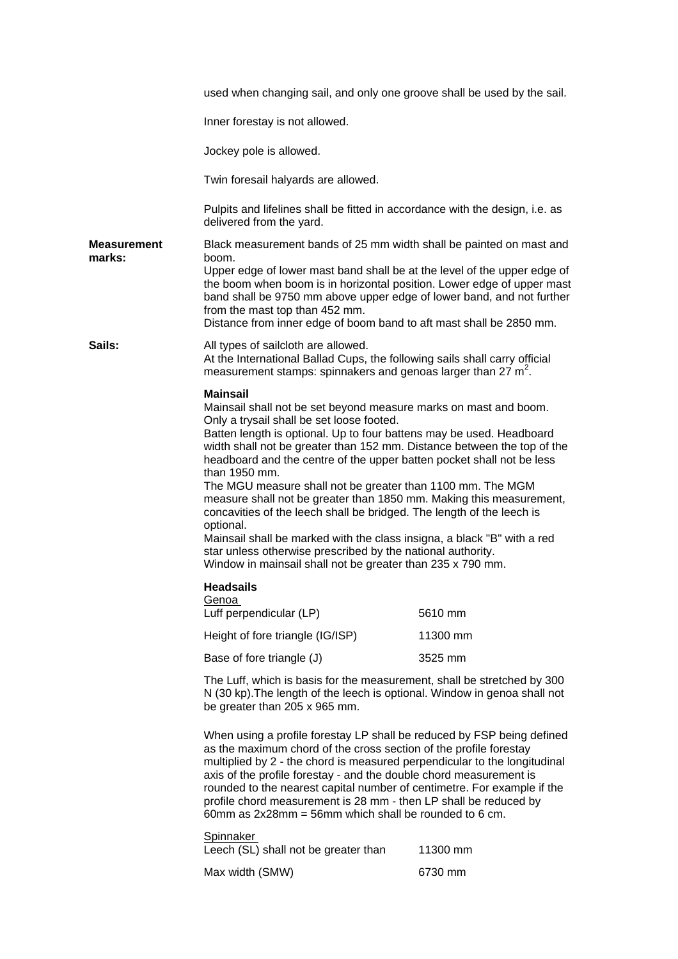|                       | used when changing sail, and only one groove shall be used by the sail.                                                                                                                                                                                                                                                                                                                                                                                                                                                                                                                                                                                                                                                                                                                                          |          |
|-----------------------|------------------------------------------------------------------------------------------------------------------------------------------------------------------------------------------------------------------------------------------------------------------------------------------------------------------------------------------------------------------------------------------------------------------------------------------------------------------------------------------------------------------------------------------------------------------------------------------------------------------------------------------------------------------------------------------------------------------------------------------------------------------------------------------------------------------|----------|
|                       | Inner forestay is not allowed.                                                                                                                                                                                                                                                                                                                                                                                                                                                                                                                                                                                                                                                                                                                                                                                   |          |
|                       | Jockey pole is allowed.                                                                                                                                                                                                                                                                                                                                                                                                                                                                                                                                                                                                                                                                                                                                                                                          |          |
|                       | Twin foresail halyards are allowed.                                                                                                                                                                                                                                                                                                                                                                                                                                                                                                                                                                                                                                                                                                                                                                              |          |
|                       | Pulpits and lifelines shall be fitted in accordance with the design, i.e. as<br>delivered from the yard.                                                                                                                                                                                                                                                                                                                                                                                                                                                                                                                                                                                                                                                                                                         |          |
| Measurement<br>marks: | Black measurement bands of 25 mm width shall be painted on mast and<br>boom.<br>Upper edge of lower mast band shall be at the level of the upper edge of<br>the boom when boom is in horizontal position. Lower edge of upper mast<br>band shall be 9750 mm above upper edge of lower band, and not further<br>from the mast top than 452 mm.<br>Distance from inner edge of boom band to aft mast shall be 2850 mm.                                                                                                                                                                                                                                                                                                                                                                                             |          |
| Sails:                | All types of sailcloth are allowed.<br>At the International Ballad Cups, the following sails shall carry official<br>measurement stamps: spinnakers and genoas larger than 27 m <sup>2</sup> .                                                                                                                                                                                                                                                                                                                                                                                                                                                                                                                                                                                                                   |          |
|                       | <b>Mainsail</b><br>Mainsail shall not be set beyond measure marks on mast and boom.<br>Only a trysail shall be set loose footed.<br>Batten length is optional. Up to four battens may be used. Headboard<br>width shall not be greater than 152 mm. Distance between the top of the<br>headboard and the centre of the upper batten pocket shall not be less<br>than 1950 mm.<br>The MGU measure shall not be greater than 1100 mm. The MGM<br>measure shall not be greater than 1850 mm. Making this measurement,<br>concavities of the leech shall be bridged. The length of the leech is<br>optional.<br>Mainsail shall be marked with the class insigna, a black "B" with a red<br>star unless otherwise prescribed by the national authority.<br>Window in mainsail shall not be greater than 235 x 790 mm. |          |
|                       | <b>Headsails</b><br>Genoa<br>Luff perpendicular (LP)                                                                                                                                                                                                                                                                                                                                                                                                                                                                                                                                                                                                                                                                                                                                                             | 5610 mm  |
|                       | Height of fore triangle (IG/ISP)                                                                                                                                                                                                                                                                                                                                                                                                                                                                                                                                                                                                                                                                                                                                                                                 | 11300 mm |
|                       | Base of fore triangle (J)                                                                                                                                                                                                                                                                                                                                                                                                                                                                                                                                                                                                                                                                                                                                                                                        | 3525 mm  |
|                       | The Luff, which is basis for the measurement, shall be stretched by 300<br>N (30 kp). The length of the leech is optional. Window in genoa shall not<br>be greater than 205 x 965 mm.                                                                                                                                                                                                                                                                                                                                                                                                                                                                                                                                                                                                                            |          |
|                       | When using a profile forestay LP shall be reduced by FSP being defined<br>as the maximum chord of the cross section of the profile forestay<br>multiplied by 2 - the chord is measured perpendicular to the longitudinal<br>axis of the profile forestay - and the double chord measurement is<br>rounded to the nearest capital number of centimetre. For example if the<br>profile chord measurement is 28 mm - then LP shall be reduced by<br>60mm as $2x28mm = 56mm$ which shall be rounded to 6 cm.                                                                                                                                                                                                                                                                                                         |          |
|                       | <b>Spinnaker</b><br>Leech (SL) shall not be greater than                                                                                                                                                                                                                                                                                                                                                                                                                                                                                                                                                                                                                                                                                                                                                         | 11300 mm |
|                       | Max width (SMW)                                                                                                                                                                                                                                                                                                                                                                                                                                                                                                                                                                                                                                                                                                                                                                                                  | 6730 mm  |
|                       |                                                                                                                                                                                                                                                                                                                                                                                                                                                                                                                                                                                                                                                                                                                                                                                                                  |          |